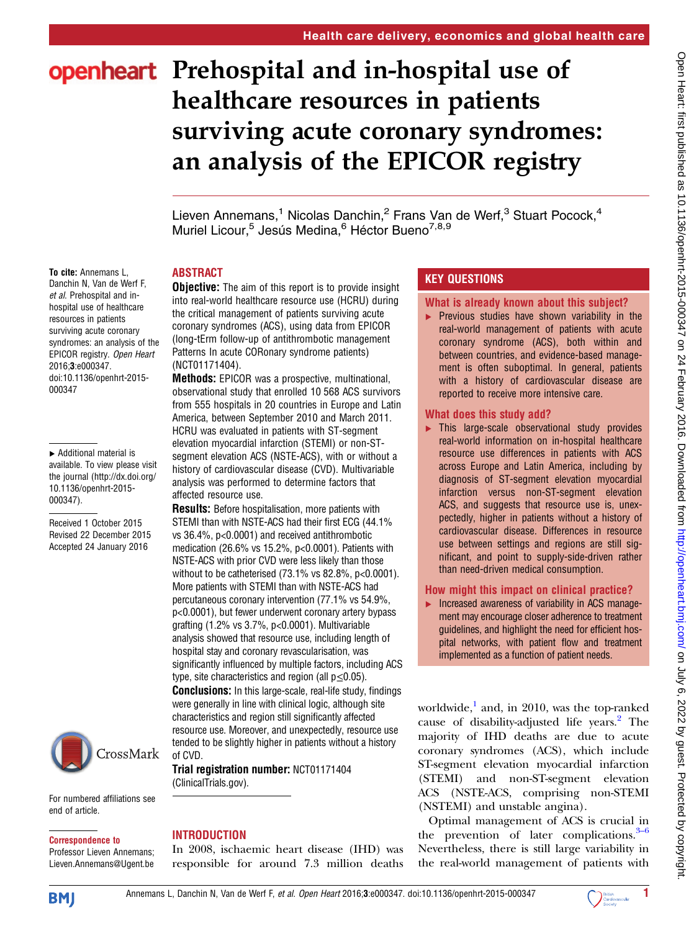# openheart Prehospital and in-hospital use of healthcare resources in patients surviving acute coronary syndromes: an analysis of the EPICOR registry

Lieven Annemans,<sup>1</sup> Nicolas Danchin,<sup>2</sup> Frans Van de Werf,<sup>3</sup> Stuart Pocock,<sup>4</sup> Muriel Licour,<sup>5</sup> Jesús Medina,<sup>6</sup> Héctor Bueno<sup>7,8,9</sup>

To cite: Annemans L, Danchin N, Van de Werf F, et al. Prehospital and inhospital use of healthcare resources in patients surviving acute coronary syndromes: an analysis of the EPICOR registry. Open Heart 2016;3:e000347. doi:10.1136/openhrt-2015- 000347

▸ Additional material is available. To view please visit the journal [\(http://dx.doi.org/](http://dx.doi.org/10.1136/openhrt-2015-000347) [10.1136/openhrt-2015-](http://dx.doi.org/10.1136/openhrt-2015-000347) [000347\)](http://dx.doi.org/10.1136/openhrt-2015-000347).

Received 1 October 2015 Revised 22 December 2015 Accepted 24 January 2016



For numbered affiliations see end of article.

#### Correspondence to

Professor Lieven Annemans; Lieven.Annemans@Ugent.be

## ABSTRACT

**Objective:** The aim of this report is to provide insight into real-world healthcare resource use (HCRU) during the critical management of patients surviving acute coronary syndromes (ACS), using data from EPICOR (long-tErm follow-up of antithrombotic management Patterns In acute CORonary syndrome patients) (NCT01171404).

Methods: EPICOR was a prospective, multinational, observational study that enrolled 10 568 ACS survivors from 555 hospitals in 20 countries in Europe and Latin America, between September 2010 and March 2011. HCRU was evaluated in patients with ST-segment elevation myocardial infarction (STEMI) or non-STsegment elevation ACS (NSTE-ACS), with or without a history of cardiovascular disease (CVD). Multivariable analysis was performed to determine factors that affected resource use.

**Results:** Before hospitalisation, more patients with STEMI than with NSTE-ACS had their first ECG (44.1% vs 36.4%, p<0.0001) and received antithrombotic medication (26.6% vs 15.2%, p<0.0001). Patients with NSTE-ACS with prior CVD were less likely than those without to be catheterised (73.1% vs 82.8%, p<0.0001). More patients with STEMI than with NSTE-ACS had percutaneous coronary intervention (77.1% vs 54.9%, p<0.0001), but fewer underwent coronary artery bypass grafting (1.2% vs 3.7%, p<0.0001). Multivariable analysis showed that resource use, including length of hospital stay and coronary revascularisation, was significantly influenced by multiple factors, including ACS type, site characteristics and region (all p≤0.05). Conclusions: In this large-scale, real-life study, findings were generally in line with clinical logic, although site characteristics and region still significantly affected resource use. Moreover, and unexpectedly, resource use tended to be slightly higher in patients without a history of CVD.

Trial registration number: NCT01171404 (ClinicalTrials.gov).

#### **INTRODUCTION**

In 2008, ischaemic heart disease (IHD) was responsible for around 7.3 million deaths

# KEY QUESTIONS

#### What is already known about this subject?

▸ Previous studies have shown variability in the real-world management of patients with acute coronary syndrome (ACS), both within and between countries, and evidence-based management is often suboptimal. In general, patients with a history of cardiovascular disease are reported to receive more intensive care.

#### What does this study add?

▸ This large-scale observational study provides real-world information on in-hospital healthcare resource use differences in patients with ACS across Europe and Latin America, including by diagnosis of ST-segment elevation myocardial infarction versus non-ST-segment elevation ACS, and suggests that resource use is, unexpectedly, higher in patients without a history of cardiovascular disease. Differences in resource use between settings and regions are still significant, and point to supply-side-driven rather than need-driven medical consumption.

#### How might this impact on clinical practice?

▶ Increased awareness of variability in ACS management may encourage closer adherence to treatment guidelines, and highlight the need for efficient hospital networks, with patient flow and treatment implemented as a function of patient needs.

worldwide, $\frac{1}{2}$  $\frac{1}{2}$  $\frac{1}{2}$  and, in 2010, was the top-ranked cause of disability-adjusted life years.<sup>[2](#page-8-0)</sup> The majority of IHD deaths are due to acute coronary syndromes (ACS), which include ST-segment elevation myocardial infarction (STEMI) and non-ST-segment elevation ACS (NSTE-ACS, comprising non-STEMI (NSTEMI) and unstable angina).

Optimal management of ACS is crucial [in](#page-8-0) the prevention of later complications. $3-6$ Nevertheless, there is still large variability in the real-world management of patients with



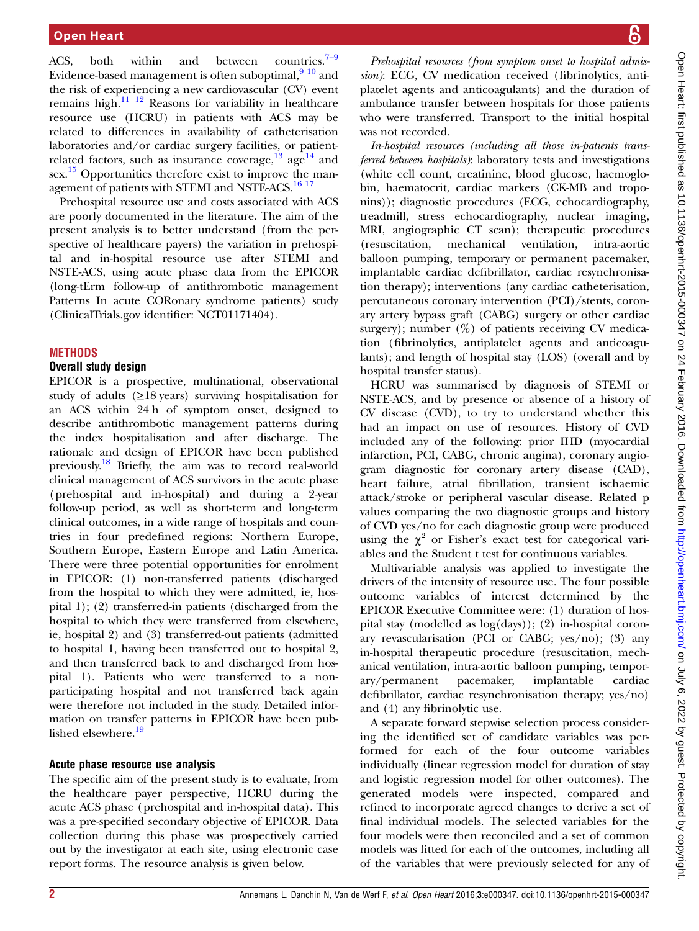ACS, both within and between countries. $7-9$  $7-9$ Evidence-based management is often suboptimal,  $910$  and the risk of experiencing a new cardiovascular (CV) event remains high. $11^{11}$  Reasons for variability in healthcare resource use (HCRU) in patients with ACS may be related to differences in availability of catheterisation laboratories and/or cardiac surgery facilities, or patient-related factors, such as insurance coverage,<sup>[13](#page-9-0)</sup> age<sup>[14](#page-9-0)</sup> and sex.<sup>[15](#page-9-0)</sup> Opportunities therefore exist to improve the man-agement of patients with STEMI and NSTE-ACS.<sup>[16 17](#page-9-0)</sup>

Prehospital resource use and costs associated with ACS are poorly documented in the literature. The aim of the present analysis is to better understand (from the perspective of healthcare payers) the variation in prehospital and in-hospital resource use after STEMI and NSTE-ACS, using acute phase data from the EPICOR (long-tErm follow-up of antithrombotic management Patterns In acute CORonary syndrome patients) study (ClinicalTrials.gov identifier: NCT01171404).

#### **METHODS**

#### Overall study design

EPICOR is a prospective, multinational, observational study of adults  $(\geq 18$  years) surviving hospitalisation for an ACS within 24 h of symptom onset, designed to describe antithrombotic management patterns during the index hospitalisation and after discharge. The rationale and design of EPICOR have been published previously.[18](#page-9-0) Briefly, the aim was to record real-world clinical management of ACS survivors in the acute phase (prehospital and in-hospital) and during a 2-year follow-up period, as well as short-term and long-term clinical outcomes, in a wide range of hospitals and countries in four predefined regions: Northern Europe, Southern Europe, Eastern Europe and Latin America. There were three potential opportunities for enrolment in EPICOR: (1) non-transferred patients (discharged from the hospital to which they were admitted, ie, hospital 1); (2) transferred-in patients (discharged from the hospital to which they were transferred from elsewhere, ie, hospital 2) and (3) transferred-out patients (admitted to hospital 1, having been transferred out to hospital 2, and then transferred back to and discharged from hospital 1). Patients who were transferred to a nonparticipating hospital and not transferred back again were therefore not included in the study. Detailed information on transfer patterns in EPICOR have been published elsewhere.<sup>19</sup>

#### Acute phase resource use analysis

The specific aim of the present study is to evaluate, from the healthcare payer perspective, HCRU during the acute ACS phase (prehospital and in-hospital data). This was a pre-specified secondary objective of EPICOR. Data collection during this phase was prospectively carried out by the investigator at each site, using electronic case report forms. The resource analysis is given below.

Prehospital resources (from symptom onset to hospital admission): ECG, CV medication received (fibrinolytics, antiplatelet agents and anticoagulants) and the duration of ambulance transfer between hospitals for those patients who were transferred. Transport to the initial hospital was not recorded.

In-hospital resources (including all those in-patients transferred between hospitals): laboratory tests and investigations (white cell count, creatinine, blood glucose, haemoglobin, haematocrit, cardiac markers (CK-MB and troponins)); diagnostic procedures (ECG, echocardiography, treadmill, stress echocardiography, nuclear imaging, MRI, angiographic CT scan); therapeutic procedures (resuscitation, mechanical ventilation, intra-aortic balloon pumping, temporary or permanent pacemaker, implantable cardiac defibrillator, cardiac resynchronisation therapy); interventions (any cardiac catheterisation, percutaneous coronary intervention (PCI)/stents, coronary artery bypass graft (CABG) surgery or other cardiac surgery); number  $(\%)$  of patients receiving CV medication (fibrinolytics, antiplatelet agents and anticoagulants); and length of hospital stay (LOS) (overall and by hospital transfer status).

HCRU was summarised by diagnosis of STEMI or NSTE-ACS, and by presence or absence of a history of CV disease (CVD), to try to understand whether this had an impact on use of resources. History of CVD included any of the following: prior IHD (myocardial infarction, PCI, CABG, chronic angina), coronary angiogram diagnostic for coronary artery disease (CAD), heart failure, atrial fibrillation, transient ischaemic attack/stroke or peripheral vascular disease. Related p values comparing the two diagnostic groups and history of CVD yes/no for each diagnostic group were produced using the  $\chi^2$  or Fisher's exact test for categorical variables and the Student t test for continuous variables.

Multivariable analysis was applied to investigate the drivers of the intensity of resource use. The four possible outcome variables of interest determined by the EPICOR Executive Committee were: (1) duration of hospital stay (modelled as log(days)); (2) in-hospital coronary revascularisation (PCI or CABG; yes/no); (3) any in-hospital therapeutic procedure (resuscitation, mechanical ventilation, intra-aortic balloon pumping, temporary/permanent pacemaker, implantable cardiac defibrillator, cardiac resynchronisation therapy; yes/no) and (4) any fibrinolytic use.

A separate forward stepwise selection process considering the identified set of candidate variables was performed for each of the four outcome variables individually (linear regression model for duration of stay and logistic regression model for other outcomes). The generated models were inspected, compared and refined to incorporate agreed changes to derive a set of final individual models. The selected variables for the four models were then reconciled and a set of common models was fitted for each of the outcomes, including all of the variables that were previously selected for any of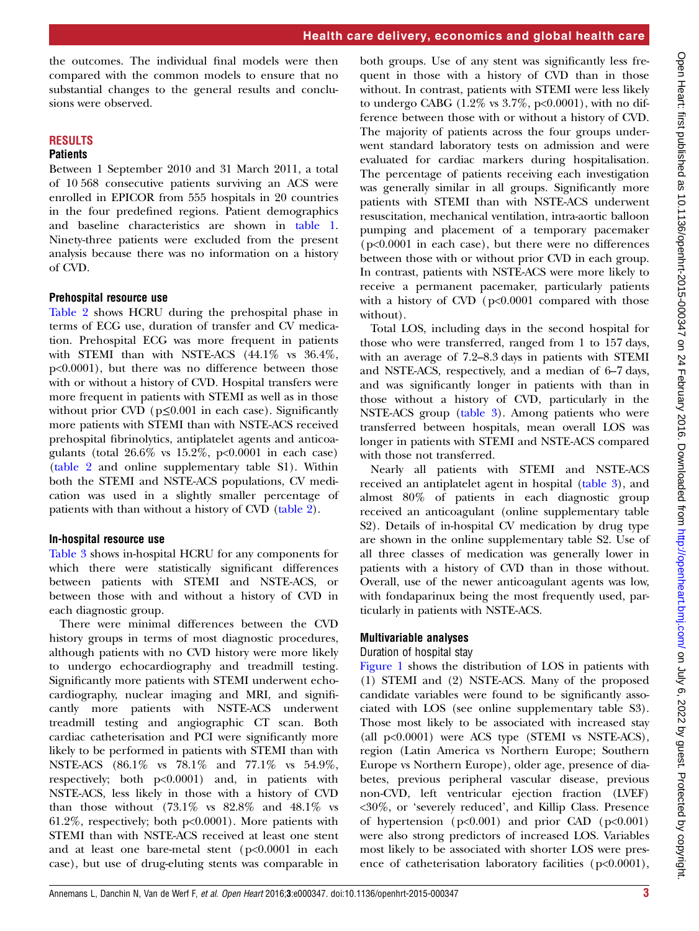the outcomes. The individual final models were then compared with the common models to ensure that no substantial changes to the general results and conclusions were observed.

## RESULTS

#### **Patients**

Between 1 September 2010 and 31 March 2011, a total of 10 568 consecutive patients surviving an ACS were enrolled in EPICOR from 555 hospitals in 20 countries in the four predefined regions. Patient demographics and baseline characteristics are shown in [table 1.](#page-3-0) Ninety-three patients were excluded from the present analysis because there was no information on a history of CVD.

## Prehospital resource use

[Table 2](#page-4-0) shows HCRU during the prehospital phase in terms of ECG use, duration of transfer and CV medication. Prehospital ECG was more frequent in patients with STEMI than with NSTE-ACS (44.1% vs 36.4%, p<0.0001), but there was no difference between those with or without a history of CVD. Hospital transfers were more frequent in patients with STEMI as well as in those without prior CVD ( $p \le 0.001$  in each case). Significantly more patients with STEMI than with NSTE-ACS received prehospital fibrinolytics, antiplatelet agents and anticoagulants (total 26.6% vs 15.2%, p<0.0001 in each case) [\(table 2](#page-4-0) and online [supplementary table](http://dx.doi.org/10.1136/openhrt-2015-000347) S1). Within both the STEMI and NSTE-ACS populations, CV medication was used in a slightly smaller percentage of patients with than without a history of CVD [\(table 2](#page-4-0)).

#### In-hospital resource use

[Table 3](#page-5-0) shows in-hospital HCRU for any components for which there were statistically significant differences between patients with STEMI and NSTE-ACS, or between those with and without a history of CVD in each diagnostic group.

There were minimal differences between the CVD history groups in terms of most diagnostic procedures, although patients with no CVD history were more likely to undergo echocardiography and treadmill testing. Significantly more patients with STEMI underwent echocardiography, nuclear imaging and MRI, and significantly more patients with NSTE-ACS underwent treadmill testing and angiographic CT scan. Both cardiac catheterisation and PCI were significantly more likely to be performed in patients with STEMI than with NSTE-ACS (86.1% vs 78.1% and 77.1% vs 54.9%, respectively; both p<0.0001) and, in patients with NSTE-ACS, less likely in those with a history of CVD than those without (73.1% vs 82.8% and 48.1% vs 61.2%, respectively; both p<0.0001). More patients with STEMI than with NSTE-ACS received at least one stent and at least one bare-metal stent (p<0.0001 in each case), but use of drug-eluting stents was comparable in

both groups. Use of any stent was significantly less frequent in those with a history of CVD than in those without. In contrast, patients with STEMI were less likely to undergo CABG (1.2% vs  $3.7\%$ ,  $p<0.0001$ ), with no difference between those with or without a history of CVD. The majority of patients across the four groups underwent standard laboratory tests on admission and were evaluated for cardiac markers during hospitalisation. The percentage of patients receiving each investigation was generally similar in all groups. Significantly more patients with STEMI than with NSTE-ACS underwent resuscitation, mechanical ventilation, intra-aortic balloon pumping and placement of a temporary pacemaker (p<0.0001 in each case), but there were no differences between those with or without prior CVD in each group. In contrast, patients with NSTE-ACS were more likely to receive a permanent pacemaker, particularly patients with a history of CVD  $(p<0.0001$  compared with those without).

Total LOS, including days in the second hospital for those who were transferred, ranged from 1 to 157 days, with an average of 7.2–8.3 days in patients with STEMI and NSTE-ACS, respectively, and a median of 6–7 days, and was significantly longer in patients with than in those without a history of CVD, particularly in the NSTE-ACS group ([table 3\)](#page-5-0). Among patients who were transferred between hospitals, mean overall LOS was longer in patients with STEMI and NSTE-ACS compared with those not transferred.

Nearly all patients with STEMI and NSTE-ACS received an antiplatelet agent in hospital [\(table 3](#page-5-0)), and almost 80% of patients in each diagnostic group received an anticoagulant (online [supplementary table](http://dx.doi.org/10.1136/openhrt-2015-000347) S2). Details of in-hospital CV medication by drug type are shown in the online [supplementary table](http://dx.doi.org/10.1136/openhrt-2015-000347) S2. Use of all three classes of medication was generally lower in patients with a history of CVD than in those without. Overall, use of the newer anticoagulant agents was low, with fondaparinux being the most frequently used, particularly in patients with NSTE-ACS.

#### Multivariable analyses

#### Duration of hospital stay

[Figure 1](#page-7-0) shows the distribution of LOS in patients with (1) STEMI and (2) NSTE-ACS. Many of the proposed candidate variables were found to be significantly associated with LOS (see online [supplementary table](http://dx.doi.org/10.1136/openhrt-2015-000347) S3). Those most likely to be associated with increased stay (all p<0.0001) were ACS type (STEMI vs NSTE-ACS), region (Latin America vs Northern Europe; Southern Europe vs Northern Europe), older age, presence of diabetes, previous peripheral vascular disease, previous non-CVD, left ventricular ejection fraction (LVEF) <30%, or 'severely reduced', and Killip Class. Presence of hypertension ( $p<0.001$ ) and prior CAD ( $p<0.001$ ) were also strong predictors of increased LOS. Variables most likely to be associated with shorter LOS were presence of catheterisation laboratory facilities (p<0.0001),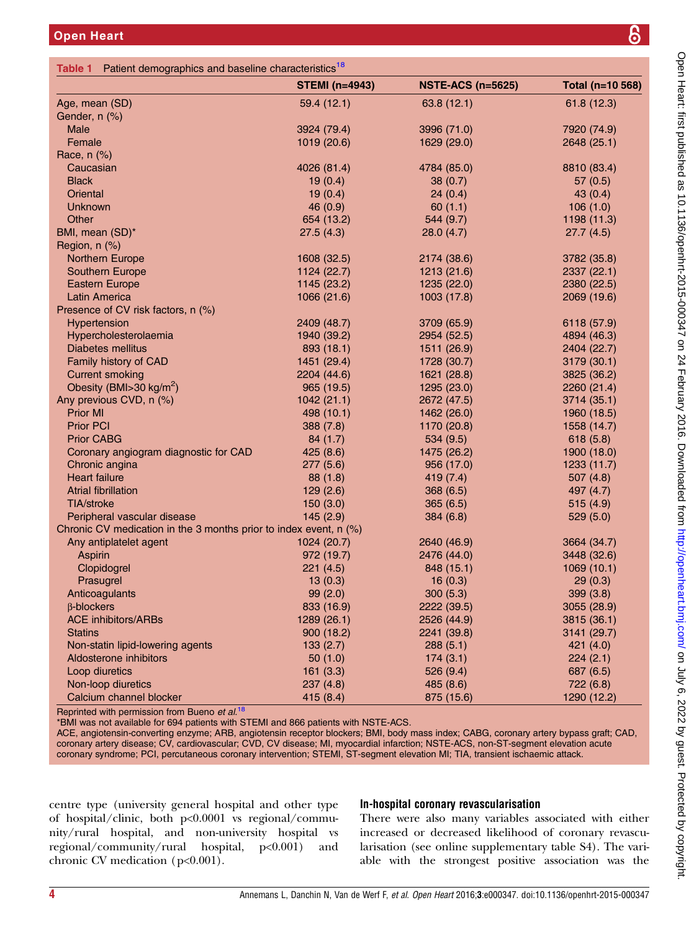Ge

 $Re$ 

 $Re$ 

<span id="page-3-0"></span>

|                                                                   | <b>STEMI (n=4943)</b> | <b>NSTE-ACS (n=5625)</b> | Total (n=10 568) |
|-------------------------------------------------------------------|-----------------------|--------------------------|------------------|
| Age, mean (SD)                                                    | 59.4 (12.1)           | 63.8(12.1)               | 61.8(12.3)       |
| Gender, n (%)                                                     |                       |                          |                  |
| <b>Male</b>                                                       | 3924 (79.4)           | 3996 (71.0)              | 7920 (74.9)      |
| Female                                                            | 1019 (20.6)           | 1629 (29.0)              | 2648 (25.1)      |
| Race, n (%)                                                       |                       |                          |                  |
| Caucasian                                                         | 4026 (81.4)           | 4784 (85.0)              | 8810 (83.4)      |
| <b>Black</b>                                                      | 19(0.4)               | 38(0.7)                  | 57(0.5)          |
| Oriental                                                          | 19(0.4)               | 24(0.4)                  | 43(0.4)          |
| Unknown                                                           | 46(0.9)               | 60(1.1)                  | 106(1.0)         |
| Other                                                             | 654 (13.2)            | 544(9.7)                 | 1198 (11.3)      |
| BMI, mean (SD)*                                                   | 27.5(4.3)             | 28.0(4.7)                | 27.7(4.5)        |
| Region, n (%)                                                     |                       |                          |                  |
| Northern Europe                                                   | 1608 (32.5)           | 2174 (38.6)              | 3782 (35.8)      |
| Southern Europe                                                   | 1124 (22.7)           | 1213 (21.6)              | 2337 (22.1)      |
| <b>Eastern Europe</b>                                             | 1145 (23.2)           | 1235 (22.0)              | 2380 (22.5)      |
| Latin America                                                     | 1066 (21.6)           | 1003 (17.8)              | 2069 (19.6)      |
| Presence of CV risk factors, n (%)                                |                       |                          |                  |
| Hypertension                                                      | 2409 (48.7)           | 3709 (65.9)              | 6118 (57.9)      |
| Hypercholesterolaemia                                             | 1940 (39.2)           | 2954 (52.5)              | 4894 (46.3)      |
| Diabetes mellitus                                                 | 893 (18.1)            | 1511 (26.9)              | 2404 (22.7)      |
| Family history of CAD                                             | 1451 (29.4)           | 1728 (30.7)              | 3179 (30.1)      |
| <b>Current smoking</b>                                            | 2204 (44.6)           | 1621 (28.8)              | 3825 (36.2)      |
| Obesity (BMI>30 kg/m <sup>2</sup> )                               | 965 (19.5)            | 1295 (23.0)              | 2260 (21.4)      |
| Any previous CVD, n (%)                                           | 1042(21.1)            | 2672 (47.5)              | 3714 (35.1)      |
| <b>Prior MI</b>                                                   | 498 (10.1)            | 1462 (26.0)              | 1960 (18.5)      |
| <b>Prior PCI</b>                                                  | 388(7.8)              | 1170 (20.8)              | 1558 (14.7)      |
| <b>Prior CABG</b>                                                 | 84(1.7)               | 534 (9.5)                | 618(5.8)         |
| Coronary angiogram diagnostic for CAD                             | 425(8.6)              | 1475 (26.2)              | 1900 (18.0)      |
| Chronic angina                                                    | 277 (5.6)             | 956 (17.0)               | 1233(11.7)       |
| <b>Heart failure</b>                                              | 88(1.8)               | 419 (7.4)                | 507(4.8)         |
| Atrial fibrillation                                               | 129(2.6)              | 368(6.5)                 | 497 (4.7)        |
| <b>TIA/stroke</b>                                                 | 150(3.0)              | 365(6.5)                 | 515(4.9)         |
| Peripheral vascular disease                                       | 145(2.9)              | 384(6.8)                 | 529(5.0)         |
| Chronic CV medication in the 3 months prior to index event, n (%) |                       |                          |                  |
| Any antiplatelet agent                                            | 1024 (20.7)           | 2640 (46.9)              | 3664 (34.7)      |
| Aspirin                                                           | 972 (19.7)            | 2476 (44.0)              | 3448 (32.6)      |
| Clopidogrel                                                       | 221(4.5)              | 848 (15.1)               | 1069(10.1)       |
| Prasugrel                                                         | 13(0.3)               | 16(0.3)                  | 29(0.3)          |
| Anticoagulants                                                    | 99(2.0)               | 300(5.3)                 | 399(3.8)         |
| $\beta$ -blockers                                                 | 833 (16.9)            | 2222 (39.5)              | 3055 (28.9)      |
| <b>ACE inhibitors/ARBs</b>                                        | 1289 (26.1)           | 2526 (44.9)              | 3815 (36.1)      |
| <b>Statins</b>                                                    | 900 (18.2)            | 2241 (39.8)              | 3141 (29.7)      |
| Non-statin lipid-lowering agents                                  | 133(2.7)              | 288(5.1)                 | 421(4.0)         |
| Aldosterone inhibitors                                            | 50(1.0)               | 174(3.1)                 | 224(2.1)         |
| Loop diuretics                                                    | 161(3.3)              | 526 (9.4)                | 687 (6.5)        |
| Non-loop diuretics                                                | 237(4.8)              | 485 (8.6)                | 722 (6.8)        |
| Calcium channel blocker                                           | 415 (8.4)             | 875 (15.6)               | 1290 (12.2)      |
| Reprinted with permission from Bueno et al. <sup>18</sup>         |                       |                          |                  |

Reprinted with permission from Bueno et al.

\*BMI was not available for 694 patients with STEMI and 866 patients with NSTE-ACS.

ACE, angiotensin-converting enzyme; ARB, angiotensin receptor blockers; BMI, body mass index; CABG, coronary artery bypass graft; CAD, coronary artery disease; CV, cardiovascular; CVD, CV disease; MI, myocardial infarction; NSTE-ACS, non-ST-segment elevation acute coronary syndrome; PCI, percutaneous coronary intervention; STEMI, ST-segment elevation MI; TIA, transient ischaemic attack.

centre type (university general hospital and other type of hospital/clinic, both p<0.0001 vs regional/community/rural hospital, and non-university hospital vs regional/community/rural hospital, p<0.001) and chronic CV medication (p<0.001).

# In-hospital coronary revascularisation

There were also many variables associated with either increased or decreased likelihood of coronary revascularisation (see online [supplementary table](http://dx.doi.org/10.1136/openhrt-2015-000347) S4). The variable with the strongest positive association was the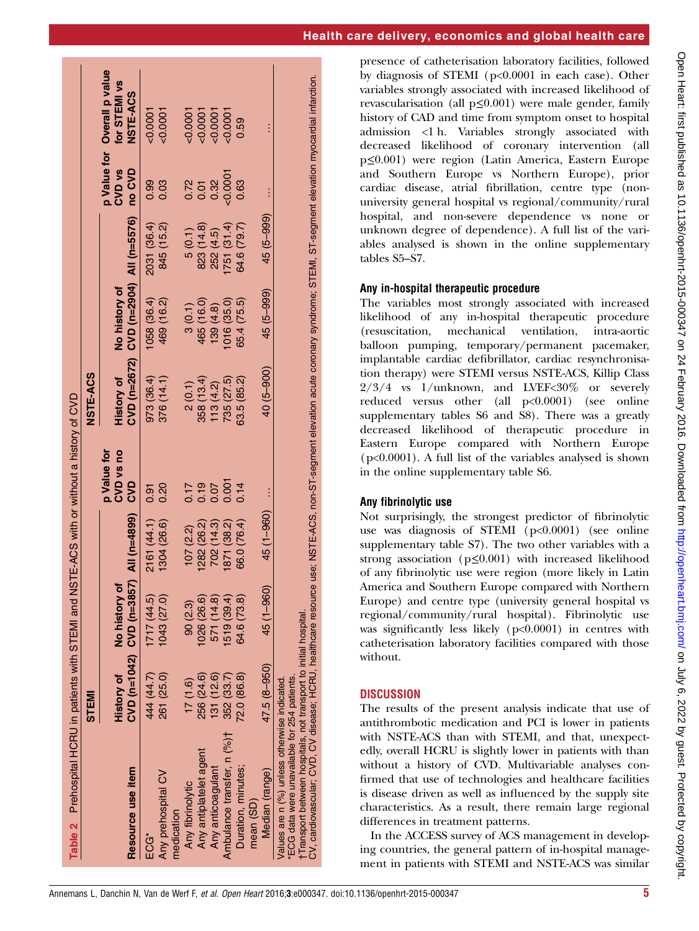<span id="page-4-0"></span>

| Table 2 Prehospital HCRU in patients with STEMI and                                                                                                                                                                                                                                                                                                   |                   |                                        |             | NSTE-ACS with or without a history of CVD |                   |                           |             |                   |                                             |
|-------------------------------------------------------------------------------------------------------------------------------------------------------------------------------------------------------------------------------------------------------------------------------------------------------------------------------------------------------|-------------------|----------------------------------------|-------------|-------------------------------------------|-------------------|---------------------------|-------------|-------------------|---------------------------------------------|
|                                                                                                                                                                                                                                                                                                                                                       | <b>INE</b>        |                                        |             |                                           | <b>NSTE-ACS</b>   |                           |             |                   |                                             |
|                                                                                                                                                                                                                                                                                                                                                       | <b>History of</b> | $\overline{\sigma}$<br>No history      |             | p Value for<br>CVD vs no                  | <b>History of</b> | No history of             |             | CVD <sub>vs</sub> | p Value for Overall p value<br>for STEMI vs |
| Resource use item                                                                                                                                                                                                                                                                                                                                     |                   | CVD (n=1042) CVD (n=3857) All (n=4899) |             | CVD                                       | CVD (n=2672)      | CVD (n=2904) All (n=5576) |             | no CVD            | NSTE-ACS                                    |
| έč<br>ΕCG*                                                                                                                                                                                                                                                                                                                                            | 444 (44.7)        | 1717 (44.5)                            | 2161 (44.1) | 0.91                                      | 973 (36.4)        | 058 (36.4)                | 2031 (36.4) | 0.99              | $-0.0001$                                   |
| Any prehospital CV                                                                                                                                                                                                                                                                                                                                    | 261 (25.0)        | 1043 (27.0)                            | 1304 (26.6) | 0.20                                      | 376 (14.1)        | 469 (16.2)                | 845 (15.2)  | 0.03              | $-0.0001$                                   |
| medication                                                                                                                                                                                                                                                                                                                                            |                   |                                        |             |                                           |                   |                           |             |                   |                                             |
| Any fibrinolytic                                                                                                                                                                                                                                                                                                                                      | 17(1.6)           | 90(2.3)                                | 107(2.2)    | 0.17                                      | 2(0.1)            | 3(0.1)                    | 5(0.1)      |                   | $-0.0001$                                   |
| Any antiplatelet agent                                                                                                                                                                                                                                                                                                                                | 256 (24.6)        | 1026 (26.6)                            | (282 (26.2) | 0.19                                      | 358(13.4)         | 465 (16.0)                | 823 (14.8)  | 0.72<br>0.01      | $-0.0001$                                   |
| Any anticoagulant                                                                                                                                                                                                                                                                                                                                     | 131 (12.6)        | 571 (14.8)                             | 702 (14.3)  | 0.07                                      | 113(4.2)          | 139(4.8)                  | 252 (4.5)   | 0.32              | $-0.0001$                                   |
| Ambulance transfer, n (%)†                                                                                                                                                                                                                                                                                                                            | 352 (33.7)        | 519 (39.4)                             | 871 (38.2)  | 0.001                                     | 735(27.5)         | 016 (35.0)                | 751 (31.4)  | $-0.0001$         | $-0.0001$                                   |
| Duration, minutes;                                                                                                                                                                                                                                                                                                                                    | 72.0 (86.8)       | 64.6 (73.8)                            | 66.0 (76.4) | 0.14                                      | 63.5(85.2)        | 65.4 (75.5)               | 64.6 (79.7) | 0.63              | 0.59                                        |
| mean (SD)                                                                                                                                                                                                                                                                                                                                             |                   |                                        |             |                                           |                   |                           |             |                   |                                             |
| Median (range)                                                                                                                                                                                                                                                                                                                                        | 47.5 (8-950)      | 45 (1-960)                             | 45 (1-960)  |                                           | $40(5-900)$       | 45 (5-999)                | 45 (5-999)  |                   |                                             |
| CV, cardiovascular; CVD, CV disease; HCRU, healthcare resource use; NSTE-ACS, non-ST-segment elevation acute coronary syndrome; STEMI, ST-segment elevation myocardial infarction.<br>Transport between hospitals, not transport to initial hospital.<br>*ECG data were unavailable for 254 patients.<br>Values are n (%) unless otherwise indicated. |                   |                                        |             |                                           |                   |                           |             |                   |                                             |
|                                                                                                                                                                                                                                                                                                                                                       |                   |                                        |             |                                           |                   |                           |             |                   |                                             |

presence of catheterisation laboratory facilities, followed by diagnosis of STEMI (p<0.0001 in each case). Other variables strongly associated with increased likelihood of revascularisation (all  $p \leq 0.001$ ) were male gender, family history of CAD and time from symptom onset to hospital admission <1 h. Variables strongly associated with decreased likelihood of coronary intervention (all p≤0.001) were region (Latin America, Eastern Europe and Southern Europe vs Northern Europe), prior cardiac disease, atrial fibrillation, centre type (nonuniversity general hospital vs regional/community/rural hospital, and non-severe dependence vs none or unknown degree of dependence). A full list of the variables analysed is shown in the online [supplementary](http://dx.doi.org/10.1136/openhrt-2015-000347) [table](http://dx.doi.org/10.1136/openhrt-2015-000347)s S5–S7.

## Any in-hospital therapeutic procedure

The variables most strongly associated with increased likelihood of any in-hospital therapeutic procedure (resuscitation, mechanical ventilation, intra-aortic balloon pumping, temporary/permanent pacemaker, implantable cardiac defibrillator, cardiac resynchronisation therapy) were STEMI versus NSTE-ACS, Killip Class  $2/3/4$  vs  $1/unknown$ , and LVEF<30% or severely reduced versus other (all p<0.0001) (see online [supplementary table](http://dx.doi.org/10.1136/openhrt-2015-000347)s S6 and S8). There was a greatly decreased likelihood of therapeutic procedure in Eastern Europe compared with Northern Europe (p<0.0001). A full list of the variables analysed is shown in the online [supplementary table](http://dx.doi.org/10.1136/openhrt-2015-000347) S6.

## Any fibrinolytic use

Not surprisingly, the strongest predictor of fibrinolytic use was diagnosis of STEMI (p<0.0001) (see online [supplementary table](http://dx.doi.org/10.1136/openhrt-2015-000347) S7). The two other variables with a strong association ( $p \le 0.001$ ) with increased likelihood of any fibrinolytic use were region (more likely in Latin America and Southern Europe compared with Northern Europe) and centre type (university general hospital vs regional/community/rural hospital). Fibrinolytic use was significantly less likely  $(p<0.0001)$  in centres with catheterisation laboratory facilities compared with those without.

# **DISCUSSION**

The results of the present analysis indicate that use of antithrombotic medication and PCI is lower in patients with NSTE-ACS than with STEMI, and that, unexpectedly, overall HCRU is slightly lower in patients with than without a history of CVD. Multivariable analyses confirmed that use of technologies and healthcare facilities is disease driven as well as influenced by the supply site characteristics. As a result, there remain large regional differences in treatment patterns.

In the ACCESS survey of ACS management in developing countries, the general pattern of in-hospital management in patients with STEMI and NSTE-ACS was similar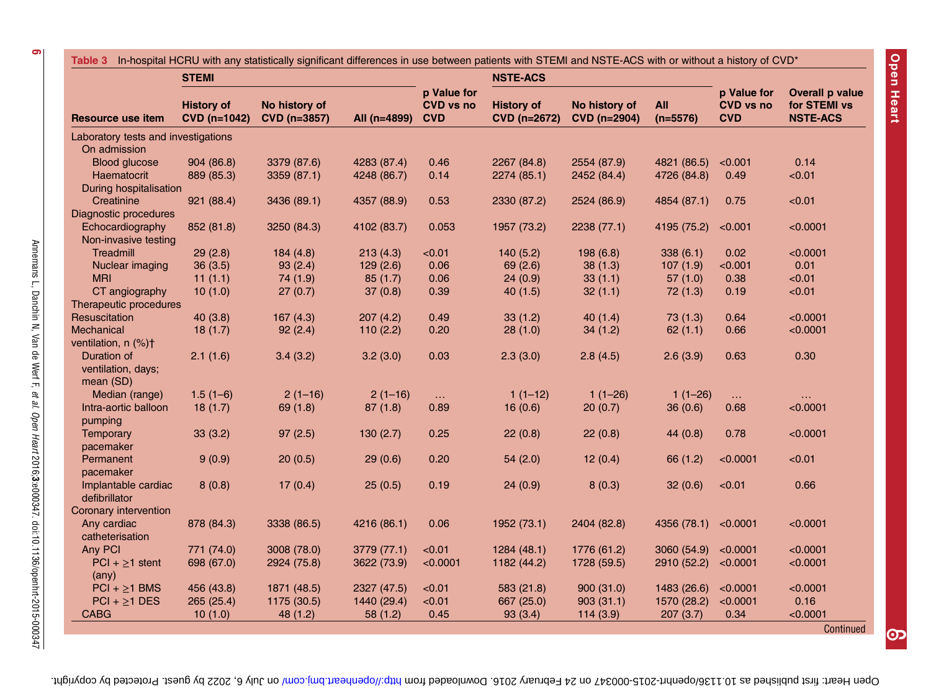<span id="page-5-0"></span>

| Table 3 In-hospital HCRU with any statistically significant differences in use between patients with STEMI and NSTE-ACS with or without a history of CVD <sup>*</sup> |                                          |                               |              |                                               |                                          |                               |                   |                                               |                                                    |
|-----------------------------------------------------------------------------------------------------------------------------------------------------------------------|------------------------------------------|-------------------------------|--------------|-----------------------------------------------|------------------------------------------|-------------------------------|-------------------|-----------------------------------------------|----------------------------------------------------|
|                                                                                                                                                                       | <b>STEMI</b>                             |                               |              |                                               | <b>NSTE-ACS</b>                          |                               |                   |                                               |                                                    |
| <b>Resource use item</b>                                                                                                                                              | <b>History of</b><br><b>CVD (n=1042)</b> | No history of<br>CVD (n=3857) | All (n=4899) | p Value for<br><b>CVD vs no</b><br><b>CVD</b> | <b>History of</b><br><b>CVD (n=2672)</b> | No history of<br>CVD (n=2904) | All<br>$(n=5576)$ | p Value for<br><b>CVD vs no</b><br><b>CVD</b> | Overall p value<br>for STEMI vs<br><b>NSTE-ACS</b> |
| Laboratory tests and investigations                                                                                                                                   |                                          |                               |              |                                               |                                          |                               |                   |                                               |                                                    |
| On admission                                                                                                                                                          |                                          |                               |              |                                               |                                          |                               |                   |                                               |                                                    |
| <b>Blood glucose</b>                                                                                                                                                  | 904 (86.8)                               | 3379 (87.6)                   | 4283 (87.4)  | 0.46                                          | 2267 (84.8)                              | 2554 (87.9)                   | 4821 (86.5)       | < 0.001                                       | 0.14                                               |
| Haematocrit                                                                                                                                                           | 889 (85.3)                               | 3359 (87.1)                   | 4248 (86.7)  | 0.14                                          | 2274 (85.1)                              | 2452 (84.4)                   | 4726 (84.8)       | 0.49                                          | < 0.01                                             |
| During hospitalisation                                                                                                                                                |                                          |                               |              |                                               |                                          |                               |                   |                                               |                                                    |
| Creatinine                                                                                                                                                            | 921 (88.4)                               | 3436 (89.1)                   | 4357 (88.9)  | 0.53                                          | 2330 (87.2)                              | 2524 (86.9)                   | 4854 (87.1)       | 0.75                                          | < 0.01                                             |
| Diagnostic procedures                                                                                                                                                 |                                          |                               |              |                                               |                                          |                               |                   |                                               |                                                    |
| Echocardiography                                                                                                                                                      | 852 (81.8)                               | 3250 (84.3)                   | 4102 (83.7)  | 0.053                                         | 1957 (73.2)                              | 2238 (77.1)                   | 4195 (75.2)       | < 0.001                                       | < 0.0001                                           |
| Non-invasive testing                                                                                                                                                  |                                          |                               |              |                                               |                                          |                               |                   |                                               |                                                    |
| Treadmill                                                                                                                                                             | 29(2.8)                                  | 184(4.8)                      | 213(4.3)     | < 0.01                                        | 140(5.2)                                 | 198 (6.8)                     | 338(6.1)          | 0.02                                          | < 0.0001                                           |
| Nuclear imaging                                                                                                                                                       | 36(3.5)                                  | 93(2.4)                       | 129(2.6)     | 0.06                                          | 69 (2.6)                                 | 38(1.3)                       | 107(1.9)          | < 0.001                                       | 0.01                                               |
| <b>MRI</b>                                                                                                                                                            | 11(1.1)                                  | 74 (1.9)                      | 85(1.7)      | 0.06                                          | 24(0.9)                                  | 33(1.1)                       | 57(1.0)           | 0.38                                          | < 0.01                                             |
| CT angiography                                                                                                                                                        | 10(1.0)                                  | 27(0.7)                       | 37(0.8)      | 0.39                                          | 40(1.5)                                  | 32(1.1)                       | 72(1.3)           | 0.19                                          | < 0.01                                             |
| Therapeutic procedures                                                                                                                                                |                                          |                               |              |                                               |                                          |                               |                   |                                               |                                                    |
| <b>Resuscitation</b>                                                                                                                                                  | 40 (3.8)                                 | 167(4.3)                      | 207(4.2)     | 0.49                                          | 33(1.2)                                  | 40(1.4)                       | 73(1.3)           | 0.64                                          | < 0.0001                                           |
| Mechanical                                                                                                                                                            | 18(1.7)                                  | 92(2.4)                       | 110(2.2)     | 0.20                                          | 28(1.0)                                  | 34(1.2)                       | 62(1.1)           | 0.66                                          | < 0.0001                                           |
| ventilation, n (%)+                                                                                                                                                   |                                          |                               |              |                                               |                                          |                               |                   |                                               |                                                    |
| Duration of                                                                                                                                                           | 2.1(1.6)                                 | 3.4(3.2)                      | 3.2(3.0)     | 0.03                                          | 2.3(3.0)                                 | 2.8(4.5)                      | 2.6(3.9)          | 0.63                                          | 0.30                                               |
| ventilation, days;                                                                                                                                                    |                                          |                               |              |                                               |                                          |                               |                   |                                               |                                                    |
| mean (SD)                                                                                                                                                             |                                          |                               |              |                                               |                                          |                               |                   |                                               |                                                    |
| Median (range)                                                                                                                                                        | $1.5(1-6)$                               | $2(1-16)$                     | $2(1-16)$    | $\mathcal{L}_{\mathcal{A}}$ .                 | $1(1-12)$                                | $1(1-26)$                     | $1(1-26)$         | $\cdots$                                      |                                                    |
| Intra-aortic balloon                                                                                                                                                  | 18(1.7)                                  | 69(1.8)                       | 87(1.8)      | 0.89                                          | 16(0.6)                                  | 20(0.7)                       | 36(0.6)           | 0.68                                          | < 0.0001                                           |
| pumping                                                                                                                                                               |                                          |                               |              |                                               |                                          |                               |                   |                                               |                                                    |
| Temporary                                                                                                                                                             | 33(3.2)                                  | 97(2.5)                       | 130(2.7)     | 0.25                                          | 22(0.8)                                  | 22(0.8)                       | 44 (0.8)          | 0.78                                          | < 0.0001                                           |
| pacemaker                                                                                                                                                             |                                          |                               |              |                                               |                                          |                               |                   |                                               |                                                    |
| Permanent                                                                                                                                                             | 9(0.9)                                   | 20(0.5)                       | 29(0.6)      | 0.20                                          | 54(2.0)                                  | 12(0.4)                       | 66 (1.2)          | < 0.0001                                      | < 0.01                                             |
| pacemaker                                                                                                                                                             |                                          |                               |              |                                               |                                          |                               |                   |                                               |                                                    |
| Implantable cardiac                                                                                                                                                   | 8(0.8)                                   | 17(0.4)                       | 25(0.5)      | 0.19                                          | 24(0.9)                                  | 8(0.3)                        | 32(0.6)           | < 0.01                                        | 0.66                                               |
| defibrillator                                                                                                                                                         |                                          |                               |              |                                               |                                          |                               |                   |                                               |                                                    |
| Coronary intervention                                                                                                                                                 |                                          |                               |              |                                               |                                          |                               |                   |                                               |                                                    |
| Any cardiac                                                                                                                                                           | 878 (84.3)                               | 3338 (86.5)                   | 4216 (86.1)  | 0.06                                          | 1952 (73.1)                              | 2404 (82.8)                   | 4356 (78.1)       | < 0.0001                                      | < 0.0001                                           |
| catheterisation                                                                                                                                                       |                                          |                               |              |                                               |                                          |                               |                   |                                               |                                                    |
| Any PCI                                                                                                                                                               | 771 (74.0)                               | 3008 (78.0)                   | 3779 (77.1)  | < 0.01                                        | 1284 (48.1)                              | 1776 (61.2)                   | 3060 (54.9)       | < 0.0001                                      | < 0.0001                                           |
| $PCI + \ge 1$ stent                                                                                                                                                   | 698 (67.0)                               | 2924 (75.8)                   | 3622 (73.9)  | < 0.0001                                      | 1182 (44.2)                              | 1728 (59.5)                   | 2910 (52.2)       | < 0.0001                                      | < 0.0001                                           |
| $(\text{any})$                                                                                                                                                        |                                          |                               |              |                                               |                                          |                               |                   |                                               |                                                    |
| $PCI + \geq 1$ BMS                                                                                                                                                    | 456 (43.8)                               | 1871 (48.5)                   | 2327 (47.5)  | < 0.01                                        | 583 (21.8)                               | 900(31.0)                     | 1483 (26.6)       | < 0.0001                                      | < 0.0001                                           |
| $PCI + \ge 1$ DES                                                                                                                                                     | 265 (25.4)                               | 1175 (30.5)                   | 1440 (29.4)  | < 0.01                                        | 667 (25.0)                               | 903(31.1)                     | 1570 (28.2)       | < 0.0001                                      | 0.16                                               |
| <b>CABG</b>                                                                                                                                                           | 10(1.0)                                  | 48 (1.2)                      | 58(1.2)      | 0.45                                          | 93(3.4)                                  | 114(3.9)                      | 207(3.7)          | 0.34                                          | < 0.0001                                           |
|                                                                                                                                                                       |                                          |                               |              |                                               |                                          |                               |                   |                                               | Continued                                          |

 $\bf O$ 

Open Heart

**Open Heart**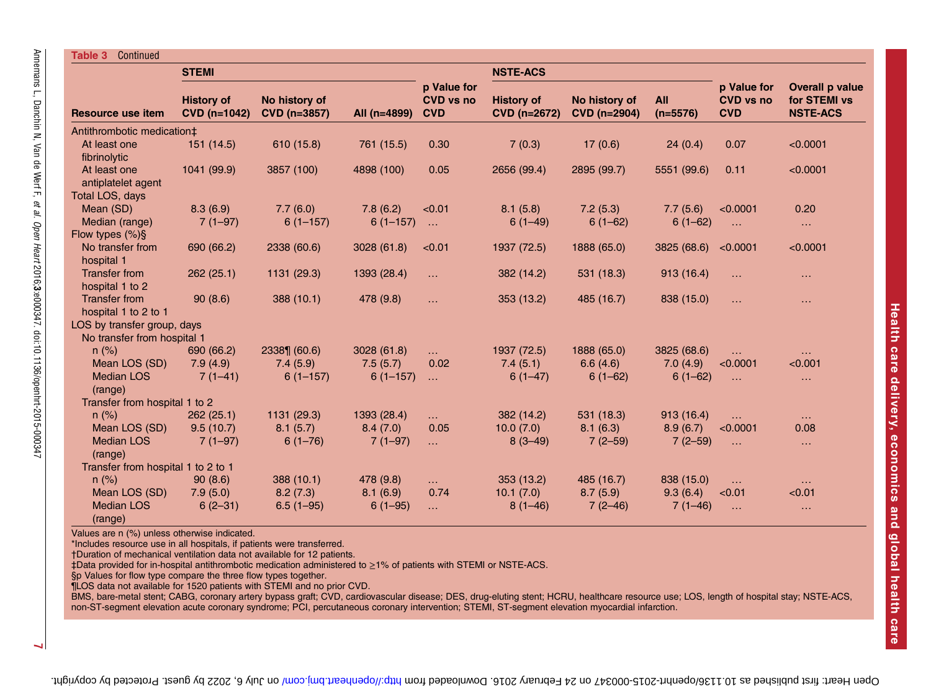| Continued<br>Table 3                   |                                   |                               |              |                                               |                                   |                               |                   |                                               |                                                           |
|----------------------------------------|-----------------------------------|-------------------------------|--------------|-----------------------------------------------|-----------------------------------|-------------------------------|-------------------|-----------------------------------------------|-----------------------------------------------------------|
|                                        | <b>STEMI</b>                      |                               |              |                                               | <b>NSTE-ACS</b>                   |                               |                   |                                               |                                                           |
| <b>Resource use item</b>               | <b>History of</b><br>CVD (n=1042) | No history of<br>CVD (n=3857) | All (n=4899) | p Value for<br><b>CVD vs no</b><br><b>CVD</b> | <b>History of</b><br>CVD (n=2672) | No history of<br>CVD (n=2904) | All<br>$(n=5576)$ | p Value for<br><b>CVD vs no</b><br><b>CVD</b> | <b>Overall p value</b><br>for STEMI vs<br><b>NSTE-ACS</b> |
| Antithrombotic medication <sup>±</sup> |                                   |                               |              |                                               |                                   |                               |                   |                                               |                                                           |
| At least one<br>fibrinolytic           | 151 (14.5)                        | 610 (15.8)                    | 761 (15.5)   | 0.30                                          | 7(0.3)                            | 17(0.6)                       | 24(0.4)           | 0.07                                          | < 0.0001                                                  |
| At least one<br>antiplatelet agent     | 1041 (99.9)                       | 3857 (100)                    | 4898 (100)   | 0.05                                          | 2656 (99.4)                       | 2895 (99.7)                   | 5551 (99.6)       | 0.11                                          | < 0.0001                                                  |
| Total LOS, days                        |                                   |                               |              |                                               |                                   |                               |                   |                                               |                                                           |
| Mean (SD)                              | 8.3(6.9)                          | 7.7(6.0)                      | 7.8(6.2)     | < 0.01                                        | 8.1(5.8)                          | 7.2(5.3)                      | 7.7(5.6)          | < 0.0001                                      | 0.20                                                      |
| Median (range)                         | $7(1-97)$                         | $6(1-157)$                    | $6(1-157)$   | $\sim 10$                                     | $6(1-49)$                         | $6(1-62)$                     | $6(1-62)$         | $\sim$                                        | $\sim 100$                                                |
| Flow types $(\%)\$                     |                                   |                               |              |                                               |                                   |                               |                   |                                               |                                                           |
| No transfer from                       | 690 (66.2)                        | 2338 (60.6)                   | 3028 (61.8)  | < 0.01                                        | 1937 (72.5)                       | 1888 (65.0)                   | 3825 (68.6)       | < 0.0001                                      | < 0.0001                                                  |
| hospital 1                             |                                   |                               |              |                                               |                                   |                               |                   |                                               |                                                           |
| <b>Transfer from</b>                   | 262 (25.1)                        | 1131 (29.3)                   | 1393 (28.4)  | $\sim$                                        | 382 (14.2)                        | 531 (18.3)                    | 913(16.4)         | $\sim$ $\sim$                                 | $\sim 100$                                                |
| hospital 1 to 2                        |                                   |                               |              |                                               |                                   |                               |                   |                                               |                                                           |
| <b>Transfer from</b>                   | 90(8.6)                           | 388 (10.1)                    | 478 (9.8)    | $\cdots$                                      | 353 (13.2)                        | 485 (16.7)                    | 838 (15.0)        | $\mathbf{1}$                                  | $\sim$                                                    |
| hospital 1 to 2 to 1                   |                                   |                               |              |                                               |                                   |                               |                   |                                               |                                                           |
| LOS by transfer group, days            |                                   |                               |              |                                               |                                   |                               |                   |                                               |                                                           |
| No transfer from hospital 1            |                                   |                               |              |                                               |                                   |                               |                   |                                               |                                                           |
| $n$ (%)                                | 690 (66.2)                        | 2338¶ (60.6)                  | 3028 (61.8)  | Ω¥,                                           | 1937 (72.5)                       | 1888 (65.0)                   | 3825 (68.6)       | $\sim$                                        | $\sim 100$                                                |
| Mean LOS (SD)                          | 7.9(4.9)                          | 7.4(5.9)                      | 7.5(5.7)     | 0.02                                          | 7.4(5.1)                          | 6.6(4.6)                      | 7.0(4.9)          | < 0.0001                                      | < 0.001                                                   |
| <b>Median LOS</b>                      | $7(1-41)$                         | $6(1-157)$                    | $6(1-157)$   | $\mathbf{1}$                                  | $6(1-47)$                         | $6(1-62)$                     | $6(1-62)$         | $\sim$                                        | $\sim 100$                                                |
| (range)                                |                                   |                               |              |                                               |                                   |                               |                   |                                               |                                                           |
| Transfer from hospital 1 to 2          |                                   |                               |              |                                               |                                   |                               |                   |                                               |                                                           |
| $n$ (%)                                | 262(25.1)                         | 1131 (29.3)                   | 1393 (28.4)  | $\mathcal{L}_{\mathcal{A}}$ .                 | 382 (14.2)                        | 531(18.3)                     | 913 (16.4)        | $\sim$                                        | $\sim 100$                                                |
| Mean LOS (SD)                          | 9.5(10.7)                         | 8.1(5.7)                      | 8.4(7.0)     | 0.05                                          | 10.0(7.0)                         | 8.1(6.3)                      | 8.9(6.7)          | < 0.0001                                      | 0.08                                                      |
| <b>Median LOS</b>                      | $7(1-97)$                         | $6(1-76)$                     | $7(1-97)$    | $\mathcal{L}_{\mathcal{A}}$ .                 | $8(3-49)$                         | $7(2-59)$                     | $7(2-59)$         | $\sim$                                        | $\sim$ .                                                  |
| (range)                                |                                   |                               |              |                                               |                                   |                               |                   |                                               |                                                           |
| Transfer from hospital 1 to 2 to 1     |                                   |                               |              |                                               |                                   |                               |                   |                                               |                                                           |
| $n$ (%)                                | 90(8.6)                           | 388 (10.1)                    | 478 (9.8)    | in a                                          | 353 (13.2)                        | 485 (16.7)                    | 838 (15.0)        | $\sim$                                        | $\sim 100$                                                |
| Mean LOS (SD)                          | 7.9(5.0)                          | 8.2(7.3)                      | 8.1(6.9)     | 0.74                                          | 10.1(7.0)                         | 8.7(5.9)                      | 9.3(6.4)          | < 0.01                                        | < 0.01                                                    |
| <b>Median LOS</b><br>(range)           | $6(2-31)$                         | $6.5(1-95)$                   | $6(1-95)$    | $\sim$                                        | $8(1-46)$                         | $7(2-46)$                     | $7(1-46)$         | $\sim$                                        | $\sim$ .                                                  |

Values are <sup>n</sup> (%) unless otherwise indicated.

\*Includes resource use in all hospitals, if patients were transferred.

†Duration of mechanical ventilation data not available for 12 patients.

‡Data provided for in-hospital antithrombotic medication administered to ≥1% of patients with STEMI or NSTE-ACS.

§p Values for flow type compare the three flow types together.

¶LOS data not available for 1520 patients with STEMI and no prior CVD.

BMS, bare-metal stent; CABG, coronary artery bypass graft; CVD, cardiovascular disease; DES, drug-eluting stent; HCRU, healthcare resource use; LOS, length of hospital stay; NSTE-ACS, non-ST-segment elevation acute coronary syndrome; PCI, percutaneous coronary intervention; STEMI, ST-segment elevation myocardial infarction.

Health care delivery, economics and global health care

Health care delivery, economics and global health care

 $\overline{\phantom{0}}$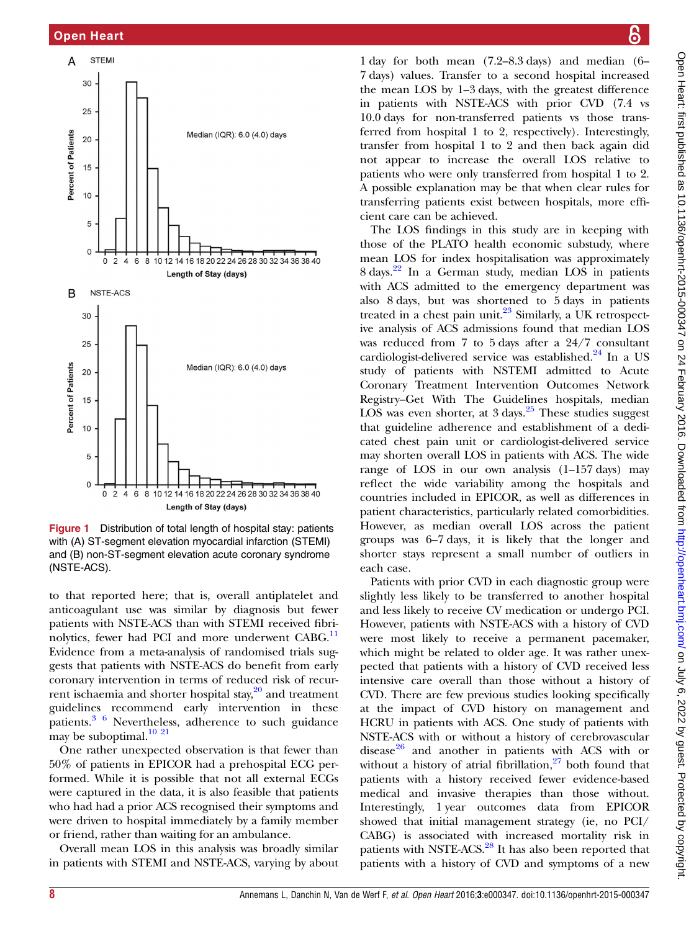<span id="page-7-0"></span>

Figure 1 Distribution of total length of hospital stay: patients with (A) ST-segment elevation myocardial infarction (STEMI) and (B) non-ST-segment elevation acute coronary syndrome (NSTE-ACS).

to that reported here; that is, overall antiplatelet and anticoagulant use was similar by diagnosis but fewer patients with NSTE-ACS than with STEMI received fibri-nolytics, fewer had PCI and more underwent CABG.<sup>[11](#page-9-0)</sup> Evidence from a meta-analysis of randomised trials suggests that patients with NSTE-ACS do benefit from early coronary intervention in terms of reduced risk of recurrent ischaemia and shorter hospital stay, $2^0$  and treatment guidelines recommend early intervention in these patients.[3 6](#page-8-0) Nevertheless, adherence to such guidance may be suboptimal. $\frac{10^{21}}{21}$ 

One rather unexpected observation is that fewer than 50% of patients in EPICOR had a prehospital ECG performed. While it is possible that not all external ECGs were captured in the data, it is also feasible that patients who had had a prior ACS recognised their symptoms and were driven to hospital immediately by a family member or friend, rather than waiting for an ambulance.

Overall mean LOS in this analysis was broadly similar in patients with STEMI and NSTE-ACS, varying by about

1 day for both mean (7.2–8.3 days) and median (6– 7 days) values. Transfer to a second hospital increased the mean LOS by 1–3 days, with the greatest difference in patients with NSTE-ACS with prior CVD (7.4 vs 10.0 days for non-transferred patients vs those transferred from hospital 1 to 2, respectively). Interestingly, transfer from hospital 1 to 2 and then back again did not appear to increase the overall LOS relative to patients who were only transferred from hospital 1 to 2. A possible explanation may be that when clear rules for transferring patients exist between hospitals, more efficient care can be achieved.

The LOS findings in this study are in keeping with those of the PLATO health economic substudy, where mean LOS for index hospitalisation was approximately 8 days.[22](#page-9-0) In a German study, median LOS in patients with ACS admitted to the emergency department was also 8 days, but was shortened to 5 days in patients treated in a chest pain unit. $^{23}$  $^{23}$  $^{23}$  Similarly, a UK retrospective analysis of ACS admissions found that median LOS was reduced from 7 to 5 days after a 24/7 consultant cardiologist-delivered service was established. $^{24}$  $^{24}$  $^{24}$  In a US study of patients with NSTEMI admitted to Acute Coronary Treatment Intervention Outcomes Network Registry–Get With The Guidelines hospitals, median LOS was even shorter, at  $3 \frac{\text{days}}{25}$  $3 \frac{\text{days}}{25}$  $3 \frac{\text{days}}{25}$  These studies suggest that guideline adherence and establishment of a dedicated chest pain unit or cardiologist-delivered service may shorten overall LOS in patients with ACS. The wide range of LOS in our own analysis (1–157 days) may reflect the wide variability among the hospitals and countries included in EPICOR, as well as differences in patient characteristics, particularly related comorbidities. However, as median overall LOS across the patient groups was 6–7 days, it is likely that the longer and shorter stays represent a small number of outliers in each case.

Patients with prior CVD in each diagnostic group were slightly less likely to be transferred to another hospital and less likely to receive CV medication or undergo PCI. However, patients with NSTE-ACS with a history of CVD were most likely to receive a permanent pacemaker, which might be related to older age. It was rather unexpected that patients with a history of CVD received less intensive care overall than those without a history of CVD. There are few previous studies looking specifically at the impact of CVD history on management and HCRU in patients with ACS. One study of patients with NSTE-ACS with or without a history of cerebrovascular disease $^{26}$  $^{26}$  $^{26}$  and another in patients with ACS with or without a history of atrial fibrillation, $27$  both found that patients with a history received fewer evidence-based medical and invasive therapies than those without. Interestingly, 1 year outcomes data from EPICOR showed that initial management strategy (ie, no PCI/ CABG) is associated with increased mortality risk in patients with NSTE-ACS.<sup>[28](#page-9-0)</sup> It has also been reported that patients with a history of CVD and symptoms of a new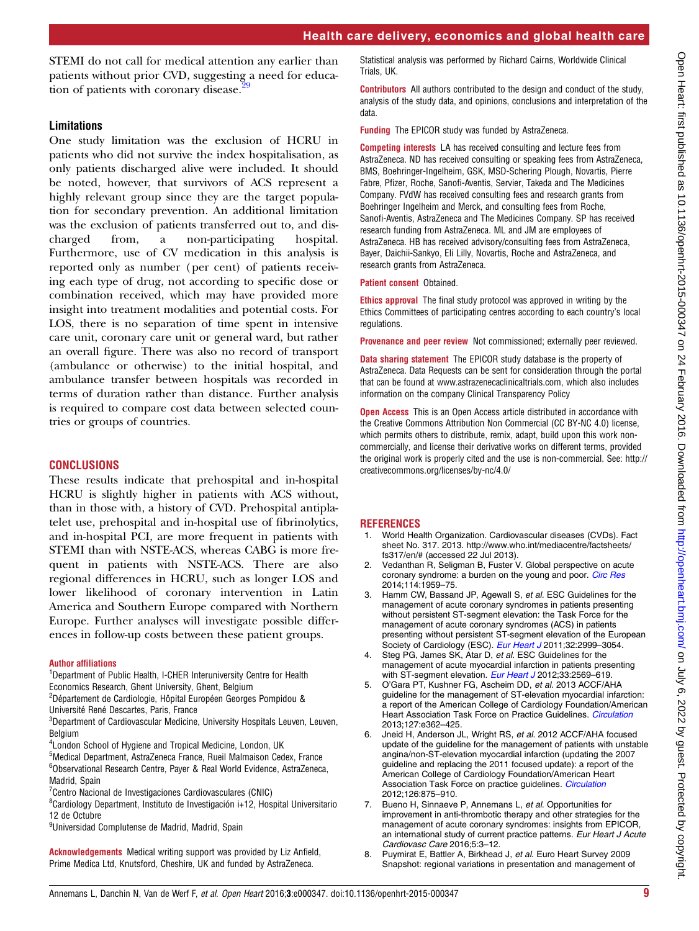<span id="page-8-0"></span>STEMI do not call for medical attention any earlier than patients without prior CVD, suggesting a need for education of patients with coronary disease.<sup>2</sup>

#### Limitations

One study limitation was the exclusion of HCRU in patients who did not survive the index hospitalisation, as only patients discharged alive were included. It should be noted, however, that survivors of ACS represent a highly relevant group since they are the target population for secondary prevention. An additional limitation was the exclusion of patients transferred out to, and discharged from, a non-participating hospital. Furthermore, use of CV medication in this analysis is reported only as number (per cent) of patients receiving each type of drug, not according to specific dose or combination received, which may have provided more insight into treatment modalities and potential costs. For LOS, there is no separation of time spent in intensive care unit, coronary care unit or general ward, but rather an overall figure. There was also no record of transport (ambulance or otherwise) to the initial hospital, and ambulance transfer between hospitals was recorded in terms of duration rather than distance. Further analysis is required to compare cost data between selected countries or groups of countries.

#### **CONCLUSIONS**

These results indicate that prehospital and in-hospital HCRU is slightly higher in patients with ACS without, than in those with, a history of CVD. Prehospital antiplatelet use, prehospital and in-hospital use of fibrinolytics, and in-hospital PCI, are more frequent in patients with STEMI than with NSTE-ACS, whereas CABG is more frequent in patients with NSTE-ACS. There are also regional differences in HCRU, such as longer LOS and lower likelihood of coronary intervention in Latin America and Southern Europe compared with Northern Europe. Further analyses will investigate possible differences in follow-up costs between these patient groups.

#### Author affiliations

- <sup>1</sup>Department of Public Health, I-CHER Interuniversity Centre for Health Economics Research, Ghent University, Ghent, Belgium
- 2 Département de Cardiologie, Hôpital Européen Georges Pompidou &
- Université René Descartes, Paris, France
- <sup>3</sup>Department of Cardiovascular Medicine, University Hospitals Leuven, Leuven, Belgium
- <sup>4</sup> London School of Hygiene and Tropical Medicine, London, UK
- 5 Medical Department, AstraZeneca France, Rueil Malmaison Cedex, France 6 Observational Research Centre, Payer & Real World Evidence, AstraZeneca, Madrid, Spain
- <sup>7</sup> Centro Nacional de Investigaciones Cardiovasculares (CNIC)
- <sup>8</sup>Cardiology Department, Instituto de Investigación i+12, Hospital Universitario 12 de Octubre
- <sup>9</sup>Universidad Complutense de Madrid, Madrid, Spain

Acknowledgements Medical writing support was provided by Liz Anfield, Prime Medica Ltd, Knutsford, Cheshire, UK and funded by AstraZeneca.

Statistical analysis was performed by Richard Cairns, Worldwide Clinical Trials, UK.

Contributors All authors contributed to the design and conduct of the study, analysis of the study data, and opinions, conclusions and interpretation of the data.

Funding The EPICOR study was funded by AstraZeneca.

Competing interests LA has received consulting and lecture fees from AstraZeneca. ND has received consulting or speaking fees from AstraZeneca, BMS, Boehringer-Ingelheim, GSK, MSD-Schering Plough, Novartis, Pierre Fabre, Pfizer, Roche, Sanofi-Aventis, Servier, Takeda and The Medicines Company. FVdW has received consulting fees and research grants from Boehringer Ingelheim and Merck, and consulting fees from Roche, Sanofi-Aventis, AstraZeneca and The Medicines Company. SP has received research funding from AstraZeneca. ML and JM are employees of AstraZeneca. HB has received advisory/consulting fees from AstraZeneca, Bayer, Daichii-Sankyo, Eli Lilly, Novartis, Roche and AstraZeneca, and research grants from AstraZeneca.

Patient consent Obtained.

Ethics approval The final study protocol was approved in writing by the Ethics Committees of participating centres according to each country's local regulations.

Provenance and peer review Not commissioned; externally peer reviewed.

Data sharing statement The EPICOR study database is the property of AstraZeneca. Data Requests can be sent for consideration through the portal that can be found at [www.astrazenecaclinicaltrials.com](http://www.astrazenecaclinicaltrials.com), which also includes information on the company Clinical Transparency Policy

**Open Access** This is an Open Access article distributed in accordance with the Creative Commons Attribution Non Commercial (CC BY-NC 4.0) license, which permits others to distribute, remix, adapt, build upon this work noncommercially, and license their derivative works on different terms, provided the original work is properly cited and the use is non-commercial. See: [http://](http://creativecommons.org/licenses/by-nc/4.0/) [creativecommons.org/licenses/by-nc/4.0/](http://creativecommons.org/licenses/by-nc/4.0/)

#### REFERENCES

- 1. World Health Organization. Cardiovascular diseases (CVDs). Fact sheet No. 317. 2013. [http://www.who.int/mediacentre/factsheets/](http://www.who.int/mediacentre/factsheets/fs317/en/#) [fs317/en/#](http://www.who.int/mediacentre/factsheets/fs317/en/#) (accessed 22 Jul 2013).
- 2. Vedanthan R, Seligman B, Fuster V. Global perspective on acute coronary syndrome: a burden on the young and poor. [Circ Res](http://dx.doi.org/10.1161/CIRCRESAHA.114.302782) 2014;114:1959–75.
- 3. Hamm CW, Bassand JP, Agewall S, et al. ESC Guidelines for the management of acute coronary syndromes in patients presenting without persistent ST-segment elevation: the Task Force for the management of acute coronary syndromes (ACS) in patients presenting without persistent ST-segment elevation of the European Society of Cardiology (ESC). [Eur Heart J](http://dx.doi.org/10.1093/eurheartj/ehr236) 2011;32:2999-3054.
- Steg PG, James SK, Atar D, et al. ESC Guidelines for the management of acute myocardial infarction in patients presenting with ST-segment elevation. [Eur Heart J](http://dx.doi.org/10.1093/eurheartj/ehs215) 2012;33:2569-619.
- 5. O'Gara PT, Kushner FG, Ascheim DD, et al. 2013 ACCF/AHA guideline for the management of ST-elevation myocardial infarction: a report of the American College of Cardiology Foundation/American Heart Association Task Force on Practice Guidelines. [Circulation](http://dx.doi.org/10.1161/CIR.0b013e3182742cf6) 2013;127:e362–425.
- 6. Jneid H, Anderson JL, Wright RS, et al. 2012 ACCF/AHA focused update of the guideline for the management of patients with unstable angina/non-ST-elevation myocardial infarction (updating the 2007 guideline and replacing the 2011 focused update): a report of the American College of Cardiology Foundation/American Heart Association Task Force on practice guidelines. [Circulation](http://dx.doi.org/10.1161/CIR.0b013e318256f1e0) 2012;126:875–910.
- 7. Bueno H, Sinnaeve P, Annemans L, et al. Opportunities for improvement in anti-thrombotic therapy and other strategies for the management of acute coronary syndromes: insights from EPICOR, an international study of current practice patterns. Eur Heart J Acute Cardiovasc Care 2016;5:3–12.
- 8. Puymirat E, Battler A, Birkhead J, et al. Euro Heart Survev 2009 Snapshot: regional variations in presentation and management of